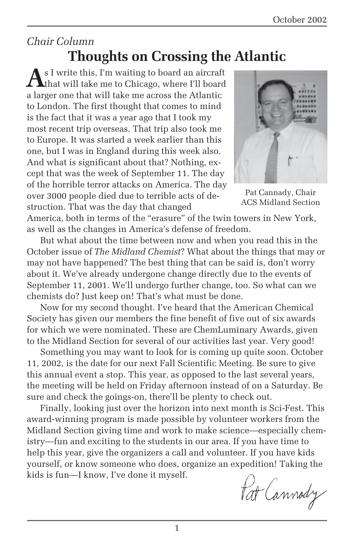### *Chair Column*

### **Thoughts on Crossing the Atlantic**

**A**s I write this, I'm waiting to board an aircraft that will take me to Chicago, where I'll board a larger one that will take me across the Atlantic to London. The first thought that comes to mind is the fact that it was a year ago that I took my most recent trip overseas. That trip also took me to Europe. It was started a week earlier than this one, but I was in England during this week also. And what is significant about that? Nothing, except that was the week of September 11. The day of the horrible terror attacks on America. The day over 3000 people died due to terrible acts of destruction. That was the day that changed



Pat Cannady, Chair ACS Midland Section

America, both in terms of the "erasure" of the twin towers in New York, as well as the changes in America's defense of freedom.

But what about the time between now and when you read this in the October issue of *The Midland Chemist*? What about the things that may or may not have happened? The best thing that can be said is, don't worry about it. We've already undergone change directly due to the events of September 11, 2001. We'll undergo further change, too. So what can we chemists do? Just keep on! That's what must be done.

Now for my second thought. I've heard that the American Chemical Society has given our members the fine benefit of five out of six awards for which we were nominated. These are ChemLuminary Awards, given to the Midland Section for several of our activities last year. Very good!

Something you may want to look for is coming up quite soon. October 11, 2002, is the date for our next Fall Scientific Meeting. Be sure to give this annual event a stop. This year, as opposed to the last several years, the meeting will be held on Friday afternoon instead of on a Saturday. Be sure and check the goings-on, there'll be plenty to check out.

Finally, looking just over the horizon into next month is Sci-Fest. This award-winning program is made possible by volunteer workers from the Midland Section giving time and work to make science—especially chemistry—fun and exciting to the students in our area. If you have time to help this year, give the organizers a call and volunteer. If you have kids yourself, or know someone who does, organize an expedition! Taking the kids is fun—I know, I've done it myself.

Pat Cannody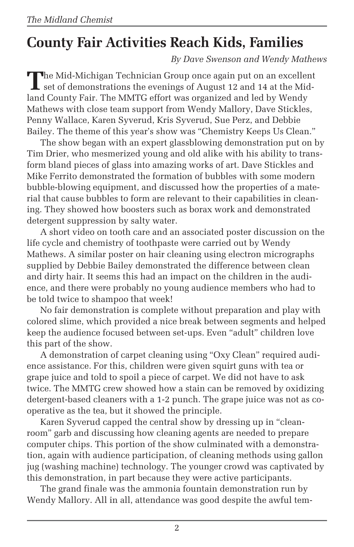# **County Fair Activities Reach Kids, Families**

*By Dave Swenson and Wendy Mathews*

**T**he Mid-Michigan Technician Group once again put on an excellent set of demonstrations the evenings of August 12 and 14 at the Midland County Fair. The MMTG effort was organized and led by Wendy Mathews with close team support from Wendy Mallory, Dave Stickles, Penny Wallace, Karen Syverud, Kris Syverud, Sue Perz, and Debbie Bailey. The theme of this year's show was "Chemistry Keeps Us Clean."

The show began with an expert glassblowing demonstration put on by Tim Drier, who mesmerized young and old alike with his ability to transform bland pieces of glass into amazing works of art. Dave Stickles and Mike Ferrito demonstrated the formation of bubbles with some modern bubble-blowing equipment, and discussed how the properties of a material that cause bubbles to form are relevant to their capabilities in cleaning. They showed how boosters such as borax work and demonstrated detergent suppression by salty water.

A short video on tooth care and an associated poster discussion on the life cycle and chemistry of toothpaste were carried out by Wendy Mathews. A similar poster on hair cleaning using electron micrographs supplied by Debbie Bailey demonstrated the difference between clean and dirty hair. It seems this had an impact on the children in the audience, and there were probably no young audience members who had to be told twice to shampoo that week!

No fair demonstration is complete without preparation and play with colored slime, which provided a nice break between segments and helped keep the audience focused between set-ups. Even "adult" children love this part of the show.

A demonstration of carpet cleaning using "Oxy Clean" required audience assistance. For this, children were given squirt guns with tea or grape juice and told to spoil a piece of carpet. We did not have to ask twice. The MMTG crew showed how a stain can be removed by oxidizing detergent-based cleaners with a 1-2 punch. The grape juice was not as cooperative as the tea, but it showed the principle.

Karen Syverud capped the central show by dressing up in "cleanroom" garb and discussing how cleaning agents are needed to prepare computer chips. This portion of the show culminated with a demonstration, again with audience participation, of cleaning methods using gallon jug (washing machine) technology. The younger crowd was captivated by this demonstration, in part because they were active participants.

The grand finale was the ammonia fountain demonstration run by Wendy Mallory. All in all, attendance was good despite the awful tem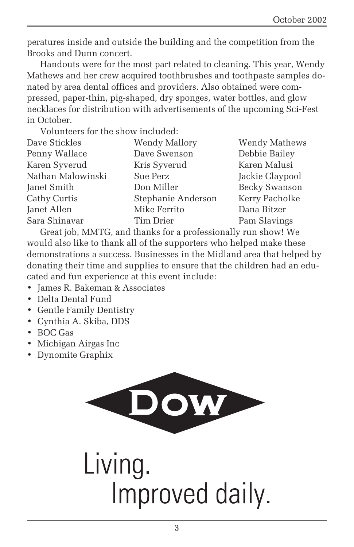peratures inside and outside the building and the competition from the Brooks and Dunn concert.

Handouts were for the most part related to cleaning. This year, Wendy Mathews and her crew acquired toothbrushes and toothpaste samples donated by area dental offices and providers. Also obtained were compressed, paper-thin, pig-shaped, dry sponges, water bottles, and glow necklaces for distribution with advertisements of the upcoming Sci-Fest in October.

Volunteers for the show included:

| Dave Stickles     | <b>Wendy Mallory</b> | Wendy Mathews        |
|-------------------|----------------------|----------------------|
| Penny Wallace     | Dave Swenson         | Debbie Bailey        |
| Karen Syverud     | Kris Syverud         | Karen Malusi         |
| Nathan Malowinski | Sue Perz             | Jackie Claypool      |
| Janet Smith       | Don Miller           | <b>Becky Swanson</b> |
| Cathy Curtis      | Stephanie Anderson   | Kerry Pacholke       |
| Janet Allen       | Mike Ferrito         | Dana Bitzer          |
| Sara Shinavar     | Tim Drier            | Pam Slavings         |
|                   |                      |                      |

Great job, MMTG, and thanks for a professionally run show! We would also like to thank all of the supporters who helped make these demonstrations a success. Businesses in the Midland area that helped by donating their time and supplies to ensure that the children had an educated and fun experience at this event include:

- James R. Bakeman & Associates
- Delta Dental Fund
- Gentle Family Dentistry
- Cynthia A. Skiba, DDS
- BOC Gas
- Michigan Airgas Inc
- Dynomite Graphix

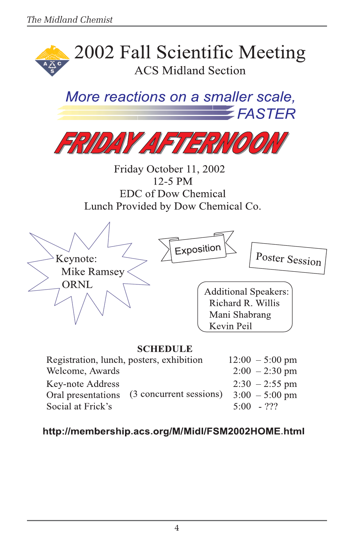

(3 concurrent sessions) Oral presentations Social at Frick's

 $2:30 - 2:55$  pm  $3:00 - 5:00$  pm

 $5:00 - 222$ 

#### http://membership.acs.org/M/Midl/FSM2002HOME.html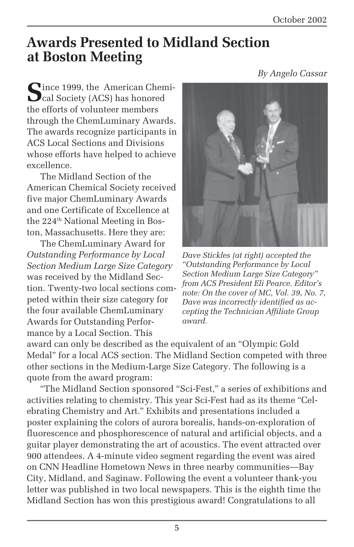### **Awards Presented to Midland Section at Boston Meeting**

**S**ince 1999, the American Chemical Society (ACS) has honored the efforts of volunteer members through the ChemLuminary Awards. The awards recognize participants in ACS Local Sections and Divisions whose efforts have helped to achieve excellence.

The Midland Section of the American Chemical Society received five major ChemLuminary Awards and one Certificate of Excellence at the 224<sup>th</sup> National Meeting in Boston, Massachusetts. Here they are:

The ChemLuminary Award for *Outstanding Performance by Local Section Medium Large Size Category* was received by the Midland Section. Twenty-two local sections competed within their size category for the four available ChemLuminary Awards for Outstanding Performance by a Local Section. This



*Dave Stickles (at right) accepted the "Outstanding Performance by Local Section Medium Large Size Category" from ACS President Eli Pearce. Editor's note: On the cover of MC, Vol. 39, No. 7, Dave was incorrectly identified as accepting the Technician Affiliate Group award.*

award can only be described as the equivalent of an "Olympic Gold Medal" for a local ACS section. The Midland Section competed with three other sections in the Medium-Large Size Category. The following is a quote from the award program:

"The Midland Section sponsored "Sci-Fest," a series of exhibitions and activities relating to chemistry. This year Sci-Fest had as its theme "Celebrating Chemistry and Art." Exhibits and presentations included a poster explaining the colors of aurora borealis, hands-on-exploration of fluorescence and phosphorescence of natural and artificial objects, and a guitar player demonstrating the art of acoustics. The event attracted over 900 attendees. A 4-minute video segment regarding the event was aired on CNN Headline Hometown News in three nearby communities—Bay City, Midland, and Saginaw. Following the event a volunteer thank-you letter was published in two local newspapers. This is the eighth time the Midland Section has won this prestigious award! Congratulations to all

*By Angelo Cassar*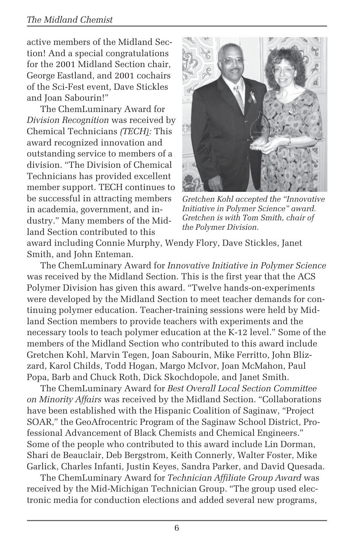#### *The Midland Chemist*

active members of the Midland Section! And a special congratulations for the 2001 Midland Section chair, George Eastland, and 2001 cochairs of the Sci-Fest event, Dave Stickles and Joan Sabourin!"

The ChemLuminary Award for *Division Recognition* was received by Chemical Technicians *(TECH):* This award recognized innovation and outstanding service to members of a division. "The Division of Chemical Technicians has provided excellent member support. TECH continues to be successful in attracting members in academia, government, and industry." Many members of the Midland Section contributed to this



*Gretchen Kohl accepted the "Innovative Initiative in Polymer Science" award. Gretchen is with Tom Smith, chair of the Polymer Division.*

award including Connie Murphy, Wendy Flory, Dave Stickles, Janet Smith, and John Enteman.

The ChemLuminary Award for *Innovative Initiative in Polymer Science* was received by the Midland Section. This is the first year that the ACS Polymer Division has given this award. "Twelve hands-on-experiments were developed by the Midland Section to meet teacher demands for continuing polymer education. Teacher-training sessions were held by Midland Section members to provide teachers with experiments and the necessary tools to teach polymer education at the K-12 level." Some of the members of the Midland Section who contributed to this award include Gretchen Kohl, Marvin Tegen, Joan Sabourin, Mike Ferritto, John Blizzard, Karol Childs, Todd Hogan, Margo McIvor, Joan McMahon, Paul Popa, Barb and Chuck Roth, Dick Skochdopole, and Janet Smith.

The ChemLuminary Award for *Best Overall Local Section Committee on Minority Affairs* was received by the Midland Section. "Collaborations have been established with the Hispanic Coalition of Saginaw, "Project SOAR," the GeoAfrocentric Program of the Saginaw School District, Professional Advancement of Black Chemists and Chemical Engineers." Some of the people who contributed to this award include Lin Dorman, Shari de Beauclair, Deb Bergstrom, Keith Connerly, Walter Foster, Mike Garlick, Charles Infanti, Justin Keyes, Sandra Parker, and David Quesada.

The ChemLuminary Award for *Technician Affiliate Group Award* was received by the Mid-Michigan Technician Group. "The group used electronic media for conduction elections and added several new programs,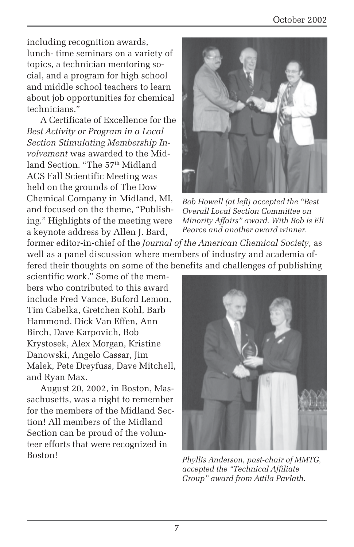including recognition awards, lunch- time seminars on a variety of topics, a technician mentoring social, and a program for high school and middle school teachers to learn about job opportunities for chemical technicians."

A Certificate of Excellence for the *Best Activity or Program in a Local Section Stimulating Membership Involvement* was awarded to the Midland Section. "The 57<sup>th</sup> Midland ACS Fall Scientific Meeting was held on the grounds of The Dow Chemical Company in Midland, MI, and focused on the theme, "Publishing." Highlights of the meeting were a keynote address by Allen J. Bard,



*Bob Howell (at left) accepted the "Best Overall Local Section Committee on Minority Affairs" award. With Bob is Eli Pearce and another award winner.*

former editor-in-chief of the *Journal of the American Chemical Society,* as well as a panel discussion where members of industry and academia offered their thoughts on some of the benefits and challenges of publishing

scientific work." Some of the members who contributed to this award include Fred Vance, Buford Lemon, Tim Cabelka, Gretchen Kohl, Barb Hammond, Dick Van Effen, Ann Birch, Dave Karpovich, Bob Krystosek, Alex Morgan, Kristine Danowski, Angelo Cassar, Jim Malek, Pete Dreyfuss, Dave Mitchell, and Ryan Max.

August 20, 2002, in Boston, Massachusetts, was a night to remember for the members of the Midland Section! All members of the Midland Section can be proud of the volunteer efforts that were recognized in Boston! *Phyllis Anderson, past-chair of MMTG,*



*accepted the "Technical Affiliate Group" award from Attila Pavlath.*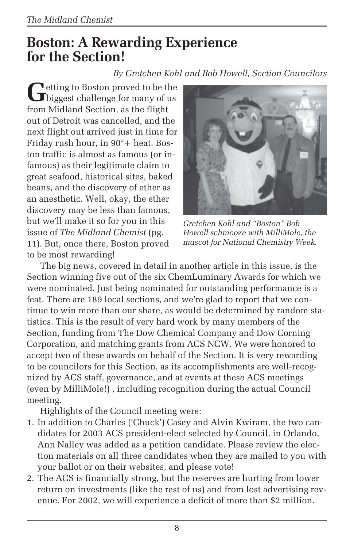### **Boston: A Rewarding Experience for the Section!**

#### *By Gretchen Kohl and Bob Howell, Section Councilors*

**J**etting to Boston proved to be the  $\mathbf{\mathbf{J}}$  biggest challenge for many of us from Midland Section, as the flight out of Detroit was cancelled, and the next flight out arrived just in time for Friday rush hour, in 90°+ heat. Boston traffic is almost as famous (or infamous) as their legitimate claim to great seafood, historical sites, baked beans, and the discovery of ether as an anesthetic. Well, okay, the ether discovery may be less than famous, but we'll make it so for you in this issue of *The Midland Chemist* (pg. 11). But, once there, Boston proved to be most rewarding!



*Gretchen Kohl and "Boston" Bob Howell schmooze with MilliMole, the mascot for National Chemistry Week.*

The big news, covered in detail in another article in this issue, is the Section winning five out of the six ChemLuminary Awards for which we were nominated. Just being nominated for outstanding performance is a feat. There are 189 local sections, and we're glad to report that we continue to win more than our share, as would be determined by random statistics. This is the result of very hard work by many members of the Section, funding from The Dow Chemical Company and Dow Corning Corporation, and matching grants from ACS NCW. We were honored to accept two of these awards on behalf of the Section. It is very rewarding to be councilors for this Section, as its accomplishments are well-recognized by ACS staff, governance, and at events at these ACS meetings (even by MilliMole!) , including recognition during the actual Council meeting.

Highlights of the Council meeting were:

- 1. In addition to Charles ('Chuck') Casey and Alvin Kwiram, the two candidates for 2003 ACS president-elect selected by Council, in Orlando, Ann Nalley was added as a petition candidate. Please review the election materials on all three candidates when they are mailed to you with your ballot or on their websites, and please vote!
- 2. The ACS is financially strong, but the reserves are hurting from lower return on investments (like the rest of us) and from lost advertising revenue. For 2002, we will experience a deficit of more than \$2 million.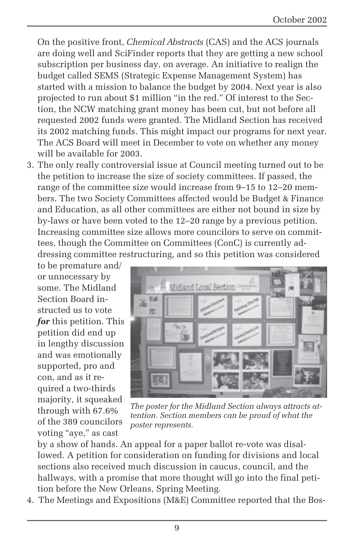On the positive front, *Chemical Abstracts* (CAS) and the ACS journals are doing well and SciFinder reports that they are getting a new school subscription per business day, on average. An initiative to realign the budget called SEMS (Strategic Expense Management System) has started with a mission to balance the budget by 2004. Next year is also projected to run about \$1 million "in the red." Of interest to the Section, the NCW matching grant money has been cut, but not before all requested 2002 funds were granted. The Midland Section has received its 2002 matching funds. This might impact our programs for next year. The ACS Board will meet in December to vote on whether any money will be available for 2003.

3. The only really controversial issue at Council meeting turned out to be the petition to increase the size of society committees. If passed, the range of the committee size would increase from 9–15 to 12–20 members. The two Society Committees affected would be Budget & Finance and Education, as all other committees are either not bound in size by by-laws or have been voted to the 12–20 range by a previous petition. Increasing committee size allows more councilors to serve on committees, though the Committee on Committees (ConC) is currently addressing committee restructuring, and so this petition was considered

to be premature and/ or unnecessary by some. The Midland Section Board instructed us to vote *for* this petition. This petition did end up in lengthy discussion and was emotionally supported, pro and con, and as it required a two-thirds majority, it squeaked through with 67.6% of the 389 councilors voting "aye," as cast



*The poster for the Midland Section always attracts attention. Section members can be proud of what the poster represents.*

by a show of hands. An appeal for a paper ballot re-vote was disallowed. A petition for consideration on funding for divisions and local sections also received much discussion in caucus, council, and the hallways, with a promise that more thought will go into the final petition before the New Orleans, Spring Meeting.

4. The Meetings and Expositions (M&E) Committee reported that the Bos-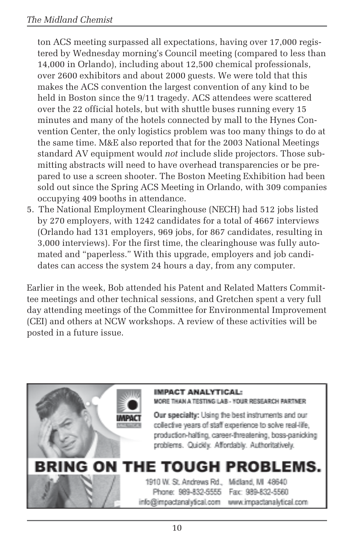ton ACS meeting surpassed all expectations, having over 17,000 registered by Wednesday morning's Council meeting (compared to less than 14,000 in Orlando), including about 12,500 chemical professionals, over 2600 exhibitors and about 2000 guests. We were told that this makes the ACS convention the largest convention of any kind to be held in Boston since the 9/11 tragedy. ACS attendees were scattered over the 22 official hotels, but with shuttle buses running every 15 minutes and many of the hotels connected by mall to the Hynes Convention Center, the only logistics problem was too many things to do at the same time. M&E also reported that for the 2003 National Meetings standard AV equipment would *not* include slide projectors. Those submitting abstracts will need to have overhead transparencies or be prepared to use a screen shooter. The Boston Meeting Exhibition had been sold out since the Spring ACS Meeting in Orlando, with 309 companies occupying 409 booths in attendance.

5. The National Employment Clearinghouse (NECH) had 512 jobs listed by 270 employers, with 1242 candidates for a total of 4667 interviews (Orlando had 131 employers, 969 jobs, for 867 candidates, resulting in 3,000 interviews). For the first time, the clearinghouse was fully automated and "paperless." With this upgrade, employers and job candidates can access the system 24 hours a day, from any computer.

Earlier in the week, Bob attended his Patent and Related Matters Committee meetings and other technical sessions, and Gretchen spent a very full day attending meetings of the Committee for Environmental Improvement (CEI) and others at NCW workshops. A review of these activities will be posted in a future issue.

#### **IMPACT ANALYTICAL:** MORE THAN A TESTING LAB - YOUR RESEARCH PARTNER Our specialty: Using the best instruments and our collective years of staff experience to solve real-life. production-halting, career-threatening, boss-panicking problems. Quickly. Affordably. Authoritatively. BRING ON THE TOUGH PROBLEMS 1910 W. St. Andrews Rd., Midland, MI 48640 Phone: 989-832-5555 Fax: 989-832-5560 info@impactanalytical.com www.impactanalytical.com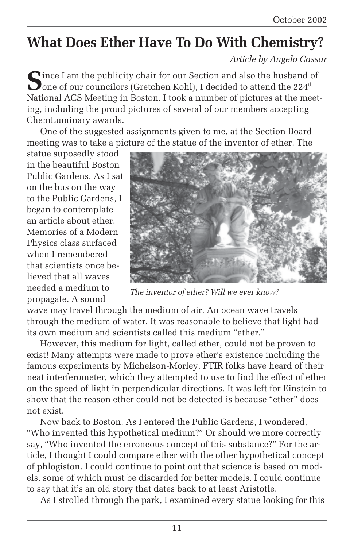# **What Does Ether Have To Do With Chemistry?**

*Article by Angelo Cassar*

**S**ince I am the publicity chair for our Section and also the husband of **O** one of our councilors (Gretchen Kohl), I decided to attend the  $224^{\text{th}}$ National ACS Meeting in Boston. I took a number of pictures at the meeting, including the proud pictures of several of our members accepting ChemLuminary awards.

One of the suggested assignments given to me, at the Section Board meeting was to take a picture of the statue of the inventor of ether. The

statue suposedly stood in the beautiful Boston Public Gardens. As I sat on the bus on the way to the Public Gardens, I began to contemplate an article about ether. Memories of a Modern Physics class surfaced when I remembered that scientists once believed that all waves needed a medium to propagate. A sound



*The inventor of ether? Will we ever know?*

wave may travel through the medium of air. An ocean wave travels through the medium of water. It was reasonable to believe that light had its own medium and scientists called this medium "ether."

However, this medium for light, called ether, could not be proven to exist! Many attempts were made to prove ether's existence including the famous experiments by Michelson-Morley. FTIR folks have heard of their neat interferometer, which they attempted to use to find the effect of ether on the speed of light in perpendicular directions. It was left for Einstein to show that the reason ether could not be detected is because "ether" does not exist.

Now back to Boston. As I entered the Public Gardens, I wondered, "Who invented this hypothetical medium?" Or should we more correctly say, "Who invented the erroneous concept of this substance?" For the article, I thought I could compare ether with the other hypothetical concept of phlogiston. I could continue to point out that science is based on models, some of which must be discarded for better models. I could continue to say that it's an old story that dates back to at least Aristotle.

As I strolled through the park, I examined every statue looking for this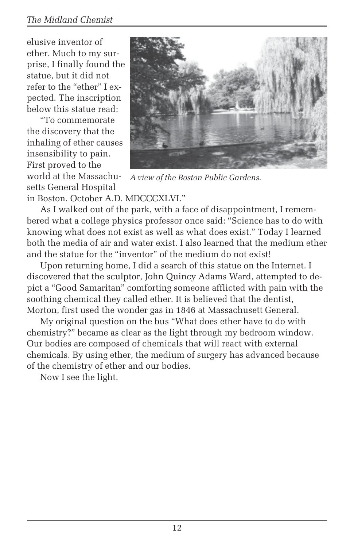#### *The Midland Chemist*

elusive inventor of ether. Much to my surprise, I finally found the statue, but it did not refer to the "ether" I expected. The inscription below this statue read:

"To commemorate the discovery that the inhaling of ether causes insensibility to pain. First proved to the world at the Massachusetts General Hospital



*A view of the Boston Public Gardens.*

in Boston. October A.D. MDCCCXLVI."

As I walked out of the park, with a face of disappointment, I remembered what a college physics professor once said: "Science has to do with knowing what does not exist as well as what does exist." Today I learned both the media of air and water exist. I also learned that the medium ether and the statue for the "inventor" of the medium do not exist!

Upon returning home, I did a search of this statue on the Internet. I discovered that the sculptor, John Quincy Adams Ward, attempted to depict a "Good Samaritan" comforting someone afflicted with pain with the soothing chemical they called ether. It is believed that the dentist, Morton, first used the wonder gas in 1846 at Massachusett General.

My original question on the bus "What does ether have to do with chemistry?" became as clear as the light through my bedroom window. Our bodies are composed of chemicals that will react with external chemicals. By using ether, the medium of surgery has advanced because of the chemistry of ether and our bodies.

Now I see the light.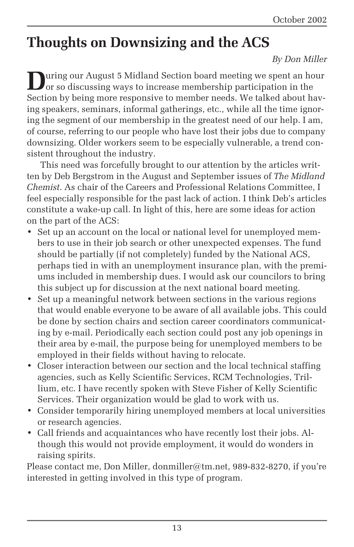# **Thoughts on Downsizing and the ACS**

#### *By Don Miller*

**During our August 5 Midland Section board meeting we spent an hour** or so discussing ways to increase membership participation in the Section by being more responsive to member needs. We talked about having speakers, seminars, informal gatherings, etc., while all the time ignoring the segment of our membership in the greatest need of our help. I am, of course, referring to our people who have lost their jobs due to company downsizing. Older workers seem to be especially vulnerable, a trend consistent throughout the industry.

This need was forcefully brought to our attention by the articles written by Deb Bergstrom in the August and September issues of *The Midland Chemist*. As chair of the Careers and Professional Relations Committee, I feel especially responsible for the past lack of action. I think Deb's articles constitute a wake-up call. In light of this, here are some ideas for action on the part of the ACS:

- Set up an account on the local or national level for unemployed members to use in their job search or other unexpected expenses. The fund should be partially (if not completely) funded by the National ACS, perhaps tied in with an unemployment insurance plan, with the premiums included in membership dues. I would ask our councilors to bring this subject up for discussion at the next national board meeting.
- Set up a meaningful network between sections in the various regions that would enable everyone to be aware of all available jobs. This could be done by section chairs and section career coordinators communicating by e-mail. Periodically each section could post any job openings in their area by e-mail, the purpose being for unemployed members to be employed in their fields without having to relocate.
- Closer interaction between our section and the local technical staffing agencies, such as Kelly Scientific Services, RCM Technologies, Trillium, etc. I have recently spoken with Steve Fisher of Kelly Scientific Services. Their organization would be glad to work with us.
- Consider temporarily hiring unemployed members at local universities or research agencies.
- Call friends and acquaintances who have recently lost their jobs. Although this would not provide employment, it would do wonders in raising spirits.

Please contact me, Don Miller, donmiller@tm.net, 989-832-8270, if you're interested in getting involved in this type of program.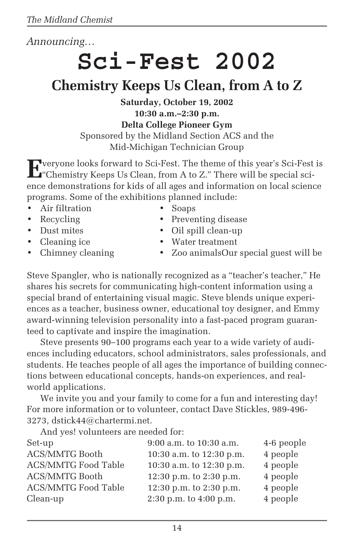#### *Announcing…*

# **Sci-Fest 2002**

## **Chemistry Keeps Us Clean, from A to Z**

**Saturday, October 19, 2002 10:30 a.m.–2:30 p.m. Delta College Pioneer Gym** Sponsored by the Midland Section ACS and the Mid-Michigan Technician Group

**E**veryone looks forward to Sci-Fest. The theme of this year's Sci-Fest is  $\mathbf{L}$  Chemistry Keeps Us Clean, from A to Z." There will be special science demonstrations for kids of all ages and information on local science programs. Some of the exhibitions planned include:

- Air filtration Soaps
- 
- 
- 
- 
- 
- Recycling Preventing disease
- Dust mites Oil spill clean-up
	- Cleaning ice Water treatment
- Chimney cleaning Zoo animalsOur special guest will be

Steve Spangler, who is nationally recognized as a "teacher's teacher," He shares his secrets for communicating high-content information using a special brand of entertaining visual magic. Steve blends unique experiences as a teacher, business owner, educational toy designer, and Emmy award-winning television personality into a fast-paced program guaranteed to captivate and inspire the imagination.

Steve presents 90–100 programs each year to a wide variety of audiences including educators, school administrators, sales professionals, and students. He teaches people of all ages the importance of building connections between educational concepts, hands-on experiences, and realworld applications.

We invite you and your family to come for a fun and interesting day! For more information or to volunteer, contact Dave Stickles, 989-496- 3273, dstick44@chartermi.net.

And yes! volunteers are needed for:

| Set-up                     | 9:00 a.m. to 10:30 a.m.  | 4-6 people |
|----------------------------|--------------------------|------------|
| <b>ACS/MMTG Booth</b>      | 10:30 a.m. to 12:30 p.m. | 4 people   |
| <b>ACS/MMTG Food Table</b> | 10:30 a.m. to 12:30 p.m. | 4 people   |
| <b>ACS/MMTG Booth</b>      | 12:30 p.m. to 2:30 p.m.  | 4 people   |
| <b>ACS/MMTG Food Table</b> | 12:30 p.m. to 2:30 p.m.  | 4 people   |
| Clean-up                   | 2:30 p.m. to 4:00 p.m.   | 4 people   |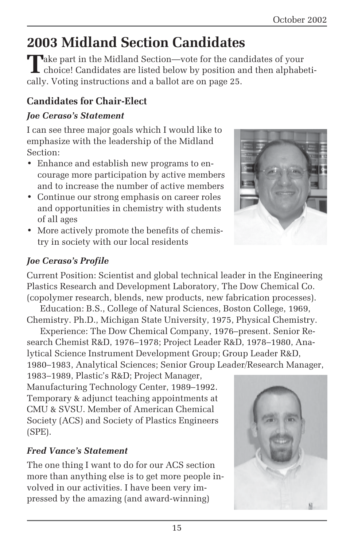# **2003 Midland Section Candidates**

Take part in the Midland Section—vote for the candidates of your<br>choice! Candidates are listed below by position and then alphabetically. Voting instructions and a ballot are on page 25.

#### **Candidates for Chair-Elect**

#### *Joe Ceraso's Statement*

I can see three major goals which I would like to emphasize with the leadership of the Midland Section:

- Enhance and establish new programs to encourage more participation by active members and to increase the number of active members
- Continue our strong emphasis on career roles and opportunities in chemistry with students of all ages
- More actively promote the benefits of chemistry in society with our local residents



#### *Joe Ceraso's Profile*

Current Position: Scientist and global technical leader in the Engineering Plastics Research and Development Laboratory, The Dow Chemical Co. (copolymer research, blends, new products, new fabrication processes).

Education: B.S., College of Natural Sciences, Boston College, 1969, Chemistry. Ph.D., Michigan State University, 1975, Physical Chemistry.

Experience: The Dow Chemical Company, 1976–present. Senior Research Chemist R&D, 1976–1978; Project Leader R&D, 1978–1980, Analytical Science Instrument Development Group; Group Leader R&D, 1980–1983, Analytical Sciences; Senior Group Leader/Research Manager,

1983–1989, Plastic's R&D; Project Manager, Manufacturing Technology Center, 1989–1992. Temporary & adjunct teaching appointments at CMU & SVSU. Member of American Chemical Society (ACS) and Society of Plastics Engineers (SPE).

#### *Fred Vance's Statement*

The one thing I want to do for our ACS section more than anything else is to get more people involved in our activities. I have been very impressed by the amazing (and award-winning)

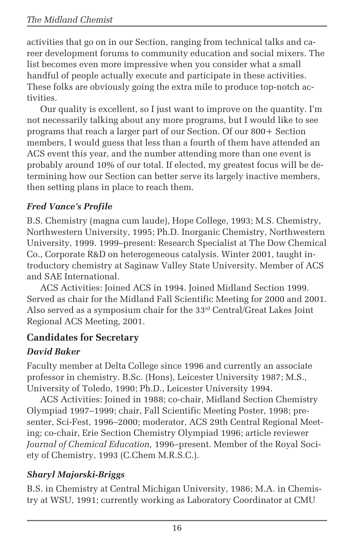activities that go on in our Section, ranging from technical talks and career development forums to community education and social mixers. The list becomes even more impressive when you consider what a small handful of people actually execute and participate in these activities. These folks are obviously going the extra mile to produce top-notch activities.

Our quality is excellent, so I just want to improve on the quantity. I'm not necessarily talking about any more programs, but I would like to see programs that reach a larger part of our Section. Of our 800+ Section members, I would guess that less than a fourth of them have attended an ACS event this year, and the number attending more than one event is probably around 10% of our total. If elected, my greatest focus will be determining how our Section can better serve its largely inactive members, then setting plans in place to reach them.

#### *Fred Vance's Profile*

B.S. Chemistry (magna cum laude), Hope College, 1993; M.S. Chemistry, Northwestern University, 1995; Ph.D. Inorganic Chemistry, Northwestern University, 1999. 1999–present: Research Specialist at The Dow Chemical Co., Corporate R&D on heterogeneous catalysis. Winter 2001, taught introductory chemistry at Saginaw Valley State University. Member of ACS and SAE International.

ACS Activities: Joined ACS in 1994. Joined Midland Section 1999. Served as chair for the Midland Fall Scientific Meeting for 2000 and 2001. Also served as a symposium chair for the 33rd Central/Great Lakes Joint Regional ACS Meeting, 2001.

#### **Candidates for Secretary**

#### *David Baker*

Faculty member at Delta College since 1996 and currently an associate professor in chemistry. B.Sc. (Hons), Leicester University 1987; M.S., University of Toledo, 1990; Ph.D., Leicester University 1994.

ACS Activities: Joined in 1988; co-chair, Midland Section Chemistry Olympiad 1997–1999; chair, Fall Scientific Meeting Poster, 1998; presenter, Sci-Fest, 1996–2000; moderator, ACS 29th Central Regional Meeting; co-chair, Erie Section Chemistry Olympiad 1996; article reviewer *Journal of Chemical Education,* 1996–present. Member of the Royal Society of Chemistry, 1993 (C.Chem M.R.S.C.).

#### *Sharyl Majorski-Briggs*

B.S. in Chemistry at Central Michigan University, 1986; M.A. in Chemistry at WSU, 1991; currently working as Laboratory Coordinator at CMU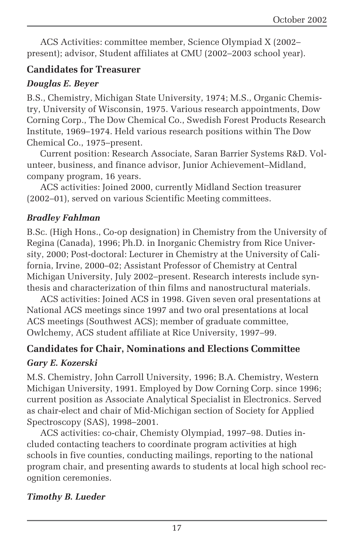ACS Activities: committee member, Science Olympiad X (2002– present); advisor, Student affiliates at CMU (2002–2003 school year).

#### **Candidates for Treasurer**

#### *Douglas E. Beyer*

B.S., Chemistry, Michigan State University, 1974; M.S., Organic Chemistry, University of Wisconsin, 1975. Various research appointments, Dow Corning Corp., The Dow Chemical Co., Swedish Forest Products Research Institute, 1969–1974. Held various research positions within The Dow Chemical Co., 1975–present.

Current position: Research Associate, Saran Barrier Systems R&D. Volunteer, business, and finance advisor, Junior Achievement–Midland, company program, 16 years.

ACS activities: Joined 2000, currently Midland Section treasurer (2002–01), served on various Scientific Meeting committees.

#### *Bradley Fahlman*

B.Sc. (High Hons., Co-op designation) in Chemistry from the University of Regina (Canada), 1996; Ph.D. in Inorganic Chemistry from Rice University, 2000; Post-doctoral: Lecturer in Chemistry at the University of California, Irvine, 2000–02; Assistant Professor of Chemistry at Central Michigan University, July 2002–present. Research interests include synthesis and characterization of thin films and nanostructural materials.

ACS activities: Joined ACS in 1998. Given seven oral presentations at National ACS meetings since 1997 and two oral presentations at local ACS meetings (Southwest ACS); member of graduate committee, Owlchemy, ACS student affiliate at Rice University, 1997–99.

### **Candidates for Chair, Nominations and Elections Committee**

#### *Gary E. Kozerski*

M.S. Chemistry, John Carroll University, 1996; B.A. Chemistry, Western Michigan University, 1991. Employed by Dow Corning Corp. since 1996; current position as Associate Analytical Specialist in Electronics. Served as chair-elect and chair of Mid-Michigan section of Society for Applied Spectroscopy (SAS), 1998–2001.

ACS activities: co-chair, Chemisty Olympiad, 1997–98. Duties included contacting teachers to coordinate program activities at high schools in five counties, conducting mailings, reporting to the national program chair, and presenting awards to students at local high school recognition ceremonies.

#### *Timothy B. Lueder*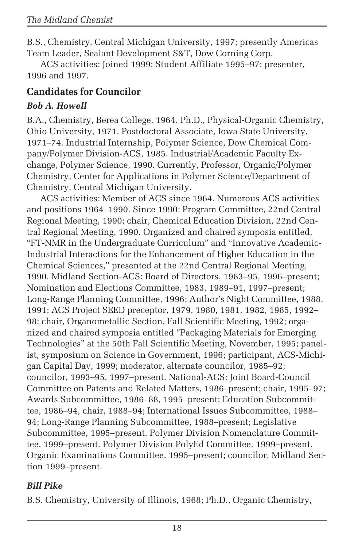B.S., Chemistry, Central Michigan University, 1997; presently Americas Team Leader, Sealant Development S&T, Dow Corning Corp.

ACS activities: Joined 1999; Student Affiliate 1995–97; presenter, 1996 and 1997.

#### **Candidates for Councilor**

#### *Bob A. Howell*

B.A., Chemistry, Berea College, 1964. Ph.D., Physical-Organic Chemistry, Ohio University, 1971. Postdoctoral Associate, Iowa State University, 1971–74. Industrial Internship, Polymer Science, Dow Chemical Company/Polymer Division-ACS, 1985. Industrial/Academic Faculty Exchange, Polymer Science, 1990. Currently, Professor, Organic/Polymer Chemistry, Center for Applications in Polymer Science/Department of Chemistry, Central Michigan University.

ACS activities: Member of ACS since 1964. Numerous ACS activities and positions 1964–1990. Since 1990: Program Committee, 22nd Central Regional Meeting, 1990; chair, Chemical Education Division, 22nd Central Regional Meeting, 1990. Organized and chaired symposia entitled, "FT-NMR in the Undergraduate Curriculum" and "Innovative Academic-Industrial Interactions for the Enhancement of Higher Education in the Chemical Sciences," presented at the 22nd Central Regional Meeting, 1990. Midland Section-ACS: Board of Directors, 1983–95, 1996–present; Nomination and Elections Committee, 1983, 1989–91, 1997–present; Long-Range Planning Committee, 1996; Author's Night Committee, 1988, 1991; ACS Project SEED preceptor, 1979, 1980, 1981, 1982, 1985, 1992– 98; chair, Organometallic Section, Fall Scientific Meeting, 1992; organized and chaired symposia entitled "Packaging Materials for Emerging Technologies" at the 50th Fall Scientific Meeting, November, 1995; panelist, symposium on Science in Government, 1996; participant, ACS-Michigan Capital Day, 1999; moderator, alternate councilor, 1985–92; councilor, 1993–95, 1997–present. National-ACS: Joint Board-Council Committee on Patents and Related Matters, 1986–present; chair, 1995–97; Awards Subcommittee, 1986–88, 1995–present; Education Subcommittee, 1986–94, chair, 1988–94; International Issues Subcommittee, 1988– 94; Long-Range Planning Subcommittee, 1988–present; Legislative Subcommittee, 1995–present. Polymer Division Nomenclature Committee, 1999–present. Polymer Division PolyEd Committee, 1999–present. Organic Examinations Committee, 1995–present; councilor, Midland Section 1999–present.

#### *Bill Pike*

B.S. Chemistry, University of Illinois, 1968; Ph.D., Organic Chemistry,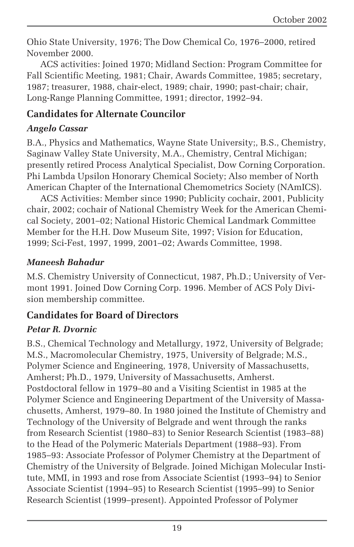Ohio State University, 1976; The Dow Chemical Co, 1976–2000, retired November 2000.

ACS activities: Joined 1970; Midland Section: Program Committee for Fall Scientific Meeting, 1981; Chair, Awards Committee, 1985; secretary, 1987; treasurer, 1988, chair-elect, 1989; chair, 1990; past-chair; chair, Long-Range Planning Committee, 1991; director, 1992–94.

#### **Candidates for Alternate Councilor**

#### *Angelo Cassar*

B.A., Physics and Mathematics, Wayne State University;, B.S., Chemistry, Saginaw Valley State University, M.A., Chemistry, Central Michigan; presently retired Process Analytical Specialist, Dow Corning Corporation. Phi Lambda Upsilon Honorary Chemical Society; Also member of North American Chapter of the International Chemometrics Society (NAmICS).

ACS Activities: Member since 1990; Publicity cochair, 2001, Publicity chair, 2002; cochair of National Chemistry Week for the American Chemical Society, 2001–02; National Historic Chemical Landmark Committee Member for the H.H. Dow Museum Site, 1997; Vision for Education, 1999; Sci-Fest, 1997, 1999, 2001–02; Awards Committee, 1998.

#### *Maneesh Bahadur*

M.S. Chemistry University of Connecticut, 1987, Ph.D.; University of Vermont 1991. Joined Dow Corning Corp. 1996. Member of ACS Poly Division membership committee.

#### **Candidates for Board of Directors**

#### *Petar R. Dvornic*

B.S., Chemical Technology and Metallurgy, 1972, University of Belgrade; M.S., Macromolecular Chemistry, 1975, University of Belgrade; M.S., Polymer Science and Engineering, 1978, University of Massachusetts, Amherst; Ph.D., 1979, University of Massachusetts, Amherst. Postdoctoral fellow in 1979–80 and a Visiting Scientist in 1985 at the Polymer Science and Engineering Department of the University of Massachusetts, Amherst, 1979–80. In 1980 joined the Institute of Chemistry and Technology of the University of Belgrade and went through the ranks from Research Scientist (1980–83) to Senior Research Scientist (1983–88) to the Head of the Polymeric Materials Department (1988–93). From 1985–93: Associate Professor of Polymer Chemistry at the Department of Chemistry of the University of Belgrade. Joined Michigan Molecular Institute, MMI, in 1993 and rose from Associate Scientist (1993–94) to Senior Associate Scientist (1994–95) to Research Scientist (1995–99) to Senior Research Scientist (1999–present). Appointed Professor of Polymer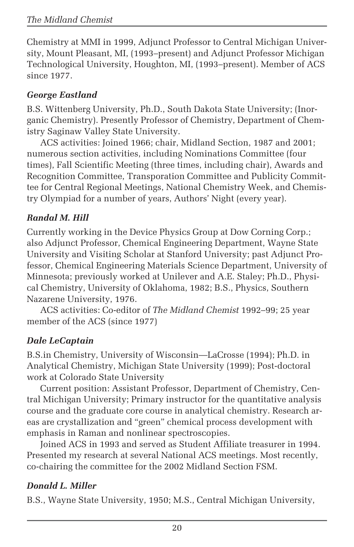Chemistry at MMI in 1999, Adjunct Professor to Central Michigan University, Mount Pleasant, MI, (1993–present) and Adjunct Professor Michigan Technological University, Houghton, MI, (1993–present). Member of ACS since 1977.

#### *George Eastland*

B.S. Wittenberg University, Ph.D., South Dakota State University; (Inorganic Chemistry). Presently Professor of Chemistry, Department of Chemistry Saginaw Valley State University.

ACS activities: Joined 1966; chair, Midland Section, 1987 and 2001; numerous section activities, including Nominations Committee (four times), Fall Scientific Meeting (three times, including chair), Awards and Recognition Committee, Transporation Committee and Publicity Committee for Central Regional Meetings, National Chemistry Week, and Chemistry Olympiad for a number of years, Authors' Night (every year).

#### *Randal M. Hill*

Currently working in the Device Physics Group at Dow Corning Corp.; also Adjunct Professor, Chemical Engineering Department, Wayne State University and Visiting Scholar at Stanford University; past Adjunct Professor, Chemical Engineering Materials Science Department, University of Minnesota; previously worked at Unilever and A.E. Staley; Ph.D., Physical Chemistry, University of Oklahoma, 1982; B.S., Physics, Southern Nazarene University, 1976.

ACS activities: Co-editor of *The Midland Chemist* 1992–99; 25 year member of the ACS (since 1977)

#### *Dale LeCaptain*

B.S.in Chemistry, University of Wisconsin—LaCrosse (1994); Ph.D. in Analytical Chemistry, Michigan State University (1999); Post-doctoral work at Colorado State University

Current position: Assistant Professor, Department of Chemistry, Central Michigan University; Primary instructor for the quantitative analysis course and the graduate core course in analytical chemistry. Research areas are crystallization and "green" chemical process development with emphasis in Raman and nonlinear spectroscopies.

Joined ACS in 1993 and served as Student Affiliate treasurer in 1994. Presented my research at several National ACS meetings. Most recently, co-chairing the committee for the 2002 Midland Section FSM.

#### *Donald L. Miller*

B.S., Wayne State University, 1950; M.S., Central Michigan University,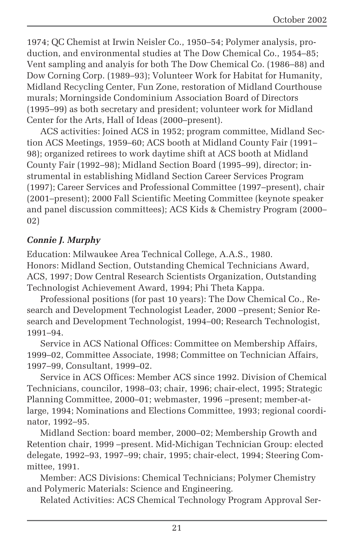1974; QC Chemist at Irwin Neisler Co., 1950–54; Polymer analysis, production, and environmental studies at The Dow Chemical Co., 1954–85; Vent sampling and analyis for both The Dow Chemical Co. (1986–88) and Dow Corning Corp. (1989–93); Volunteer Work for Habitat for Humanity, Midland Recycling Center, Fun Zone, restoration of Midland Courthouse murals; Morningside Condominium Association Board of Directors (1995–99) as both secretary and president; volunteer work for Midland Center for the Arts, Hall of Ideas (2000–present).

ACS activities: Joined ACS in 1952; program committee, Midland Section ACS Meetings, 1959–60; ACS booth at Midland County Fair (1991– 98); organized retirees to work daytime shift at ACS booth at Midland County Fair (1992–98); Midland Section Board (1995–99), director; instrumental in establishing Midland Section Career Services Program (1997); Career Services and Professional Committee (1997–present), chair (2001–present); 2000 Fall Scientific Meeting Committee (keynote speaker and panel discussion committees); ACS Kids & Chemistry Program (2000– 02)

#### *Connie J. Murphy*

Education: Milwaukee Area Technical College, A.A.S., 1980. Honors: Midland Section, Outstanding Chemical Technicians Award, ACS, 1997; Dow Central Research Scientists Organization, Outstanding Technologist Achievement Award, 1994; Phi Theta Kappa.

Professional positions (for past 10 years): The Dow Chemical Co., Research and Development Technologist Leader, 2000 –present; Senior Research and Development Technologist, 1994–00; Research Technologist, 1991–94.

Service in ACS National Offices: Committee on Membership Affairs, 1999–02, Committee Associate, 1998; Committee on Technician Affairs, 1997–99, Consultant, 1999–02.

Service in ACS Offices: Member ACS since 1992. Division of Chemical Technicians, councilor, 1998–03; chair, 1996; chair-elect, 1995; Strategic Planning Committee, 2000–01; webmaster, 1996 –present; member-atlarge, 1994; Nominations and Elections Committee, 1993; regional coordinator, 1992–95.

Midland Section: board member, 2000–02; Membership Growth and Retention chair, 1999 –present. Mid-Michigan Technician Group: elected delegate, 1992–93, 1997–99; chair, 1995; chair-elect, 1994; Steering Committee, 1991.

Member: ACS Divisions: Chemical Technicians; Polymer Chemistry and Polymeric Materials: Science and Engineering.

Related Activities: ACS Chemical Technology Program Approval Ser-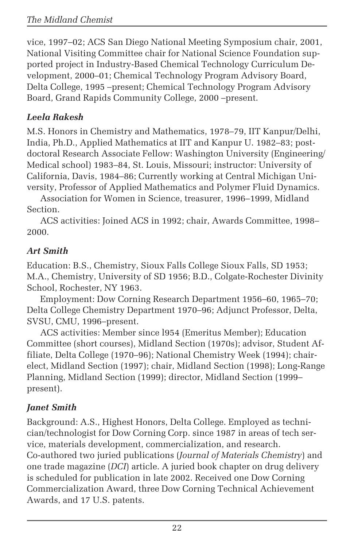vice, 1997–02; ACS San Diego National Meeting Symposium chair, 2001, National Visiting Committee chair for National Science Foundation supported project in Industry-Based Chemical Technology Curriculum Development, 2000–01; Chemical Technology Program Advisory Board, Delta College, 1995 –present; Chemical Technology Program Advisory Board, Grand Rapids Community College, 2000 –present.

#### *Leela Rakesh*

M.S. Honors in Chemistry and Mathematics, 1978–79, IIT Kanpur/Delhi, India, Ph.D., Applied Mathematics at IIT and Kanpur U. 1982–83; postdoctoral Research Associate Fellow: Washington University (Engineering/ Medical school) 1983–84, St. Louis, Missouri; instructor: University of California, Davis, 1984–86; Currently working at Central Michigan University, Professor of Applied Mathematics and Polymer Fluid Dynamics.

Association for Women in Science, treasurer, 1996–1999, Midland Section.

ACS activities: Joined ACS in 1992; chair, Awards Committee, 1998– 2000.

#### *Art Smith*

Education: B.S., Chemistry, Sioux Falls College Sioux Falls, SD 1953; M.A., Chemistry, University of SD 1956; B.D., Colgate-Rochester Divinity School, Rochester, NY 1963.

Employment: Dow Corning Research Department 1956–60, 1965–70; Delta College Chemistry Department 1970–96; Adjunct Professor, Delta, SVSU, CMU, 1996–present.

ACS activities: Member since l954 (Emeritus Member); Education Committee (short courses), Midland Section (1970s); advisor, Student Affiliate, Delta College (1970–96); National Chemistry Week (1994); chairelect, Midland Section (1997); chair, Midland Section (1998); Long-Range Planning, Midland Section (1999); director, Midland Section (1999– present).

#### *Janet Smith*

Background: A.S., Highest Honors, Delta College. Employed as technician/technologist for Dow Corning Corp. since 1987 in areas of tech service, materials development, commercialization, and research. Co-authored two juried publications (*Journal of Materials Chemistry*) and one trade magazine (*DCI*) article. A juried book chapter on drug delivery is scheduled for publication in late 2002. Received one Dow Corning Commercialization Award, three Dow Corning Technical Achievement Awards, and 17 U.S. patents.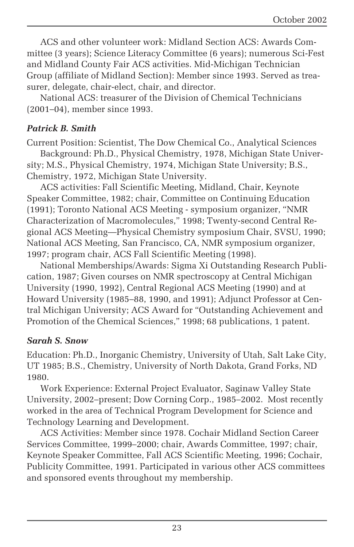ACS and other volunteer work: Midland Section ACS: Awards Committee (3 years); Science Literacy Committee (6 years); numerous Sci-Fest and Midland County Fair ACS activities. Mid-Michigan Technician Group (affiliate of Midland Section): Member since 1993. Served as treasurer, delegate, chair-elect, chair, and director.

National ACS: treasurer of the Division of Chemical Technicians (2001–04), member since 1993.

#### *Patrick B. Smith*

Current Position: Scientist, The Dow Chemical Co., Analytical Sciences Background: Ph.D., Physical Chemistry, 1978, Michigan State University; M.S., Physical Chemistry, 1974, Michigan State University; B.S., Chemistry, 1972, Michigan State University.

ACS activities: Fall Scientific Meeting, Midland, Chair, Keynote Speaker Committee, 1982; chair, Committee on Continuing Education (1991); Toronto National ACS Meeting - symposium organizer, "NMR Characterization of Macromolecules," 1998; Twenty-second Central Regional ACS Meeting—Physical Chemistry symposium Chair, SVSU, 1990; National ACS Meeting, San Francisco, CA, NMR symposium organizer, 1997; program chair, ACS Fall Scientific Meeting (1998).

National Memberships/Awards: Sigma Xi Outstanding Research Publication, 1987; Given courses on NMR spectroscopy at Central Michigan University (1990, 1992), Central Regional ACS Meeting (1990) and at Howard University (1985–88, 1990, and 1991); Adjunct Professor at Central Michigan University; ACS Award for "Outstanding Achievement and Promotion of the Chemical Sciences," 1998; 68 publications, 1 patent.

#### *Sarah S. Snow*

Education: Ph.D., Inorganic Chemistry, University of Utah, Salt Lake City, UT 1985; B.S., Chemistry, University of North Dakota, Grand Forks, ND 1980.

Work Experience: External Project Evaluator, Saginaw Valley State University, 2002–present; Dow Corning Corp., 1985–2002. Most recently worked in the area of Technical Program Development for Science and Technology Learning and Development.

ACS Activities: Member since 1978. Cochair Midland Section Career Services Committee, 1999–2000; chair, Awards Committee, 1997; chair, Keynote Speaker Committee, Fall ACS Scientific Meeting, 1996; Cochair, Publicity Committee, 1991. Participated in various other ACS committees and sponsored events throughout my membership.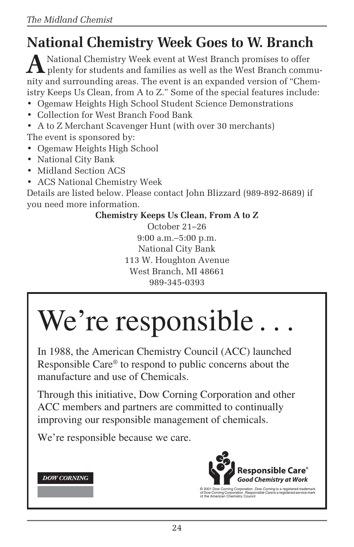# **National Chemistry Week Goes to W. Branch**

**A** National Chemistry Week event at West Branch promises to offer<br>plenty for students and families as well as the West Branch community and surrounding areas. The event is an expanded version of "Chemistry Keeps Us Clean, from A to Z." Some of the special features include:

- Ogemaw Heights High School Student Science Demonstrations
- Collection for West Branch Food Bank
- A to Z Merchant Scavenger Hunt (with over 30 merchants)

The event is sponsored by:

- Ogemaw Heights High School
- National City Bank
- Midland Section ACS
- ACS National Chemistry Week

Details are listed below. Please contact John Blizzard (989-892-8689) if you need more information.

#### **Chemistry Keeps Us Clean, From A to Z**

October 21–26 9:00 a.m.–5:00 p.m. National City Bank 113 W. Houghton Avenue West Branch, MI 48661 989-345-0393

# We're responsible.

In 1988, the American Chemistry Council (ACC) launched Responsible Care® to respond to public concerns about the manufacture and use of Chemicals.

Through this initiative, Dow Corning Corporation and other ACC members and partners are committed to continually improving our responsible management of chemicals.

We're responsible because we care.





© 2001 Dow Corning Corporation. *Dow Corning* is a registered trademark<br>of Dow Corning Corporation. *Responsible Care* is a registered service mark<br>of the American Chemistry Council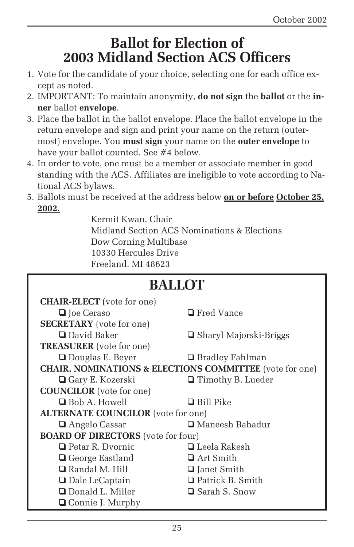### **Ballot for Election of 2003 Midland Section ACS Officers**

- 1. Vote for the candidate of your choice, selecting one for each office except as noted.
- 2. IMPORTANT: To maintain anonymity, **do not sign** the **ballot** or the **inner** ballot **envelope**.
- 3. Place the ballot in the ballot envelope. Place the ballot envelope in the return envelope and sign and print your name on the return (outermost) envelope. You **must sign** your name on the **outer envelope** to have your ballot counted. See #4 below.
- 4. In order to vote, one must be a member or associate member in good standing with the ACS. Affiliates are ineligible to vote according to National ACS bylaws.
- 5. Ballots must be received at the address below **on or before October 25, 2002.**

Kermit Kwan, Chair Midland Section ACS Nominations & Elections Dow Corning Multibase 10330 Hercules Drive Freeland, MI 48623

| <b>BALLOT</b>                                                      |                                 |  |
|--------------------------------------------------------------------|---------------------------------|--|
| <b>CHAIR-ELECT</b> (vote for one)                                  |                                 |  |
| <b>□</b> Joe Ceraso                                                | <b>□</b> Fred Vance             |  |
| <b>SECRETARY</b> (vote for one)                                    |                                 |  |
| □ David Baker                                                      | <b>□</b> Sharyl Majorski-Briggs |  |
| <b>TREASURER</b> (vote for one)                                    |                                 |  |
| $\Box$ Douglas E. Beyer                                            | <b>□</b> Bradley Fahlman        |  |
| <b>CHAIR, NOMINATIONS &amp; ELECTIONS COMMITTEE</b> (vote for one) |                                 |  |
| <b>□</b> Gary E. Kozerski                                          | $\Box$ Timothy B. Lueder        |  |
| <b>COUNCILOR</b> (vote for one)                                    |                                 |  |
| <b>Bob A. Howell</b>                                               | $\Box$ Bill Pike                |  |
| <b>ALTERNATE COUNCILOR</b> (vote for one)                          |                                 |  |
| <b>□</b> Angelo Cassar                                             | <b>□</b> Maneesh Bahadur        |  |
| <b>BOARD OF DIRECTORS</b> (vote for four)                          |                                 |  |
| $\Box$ Petar R. Dvornic                                            | $\Box$ Leela Rakesh             |  |
| <b>□</b> George Eastland                                           | $\Box$ Art Smith                |  |
| $\Box$ Randal M. Hill                                              | <b>□</b> Janet Smith            |  |
| <b>□</b> Dale LeCaptain                                            | <b>□</b> Patrick B. Smith       |  |
| <b>Q</b> Donald L. Miller                                          | <b>□</b> Sarah S. Snow          |  |
| <b>□</b> Connie J. Murphy                                          |                                 |  |